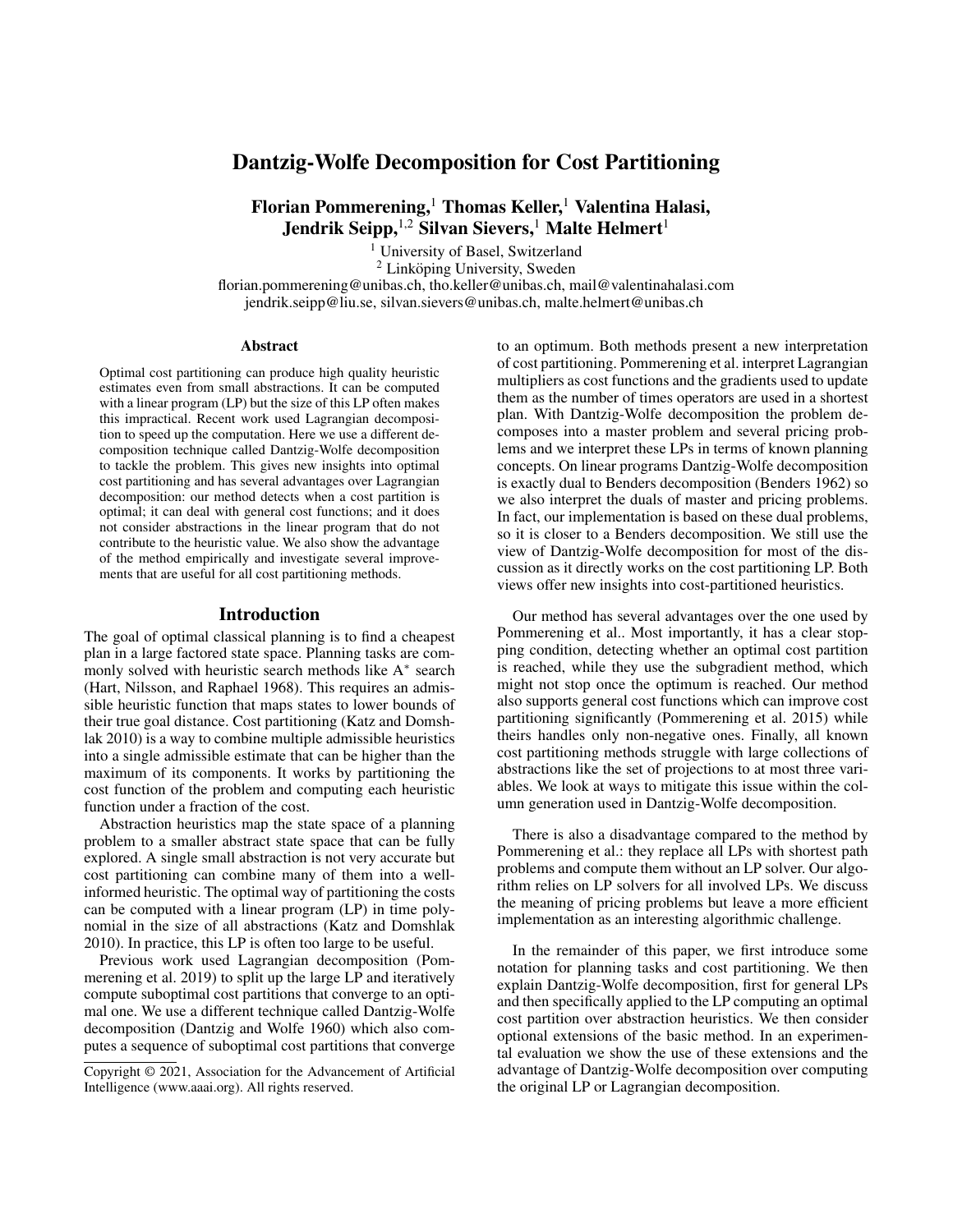# Dantzig-Wolfe Decomposition for Cost Partitioning

Florian Pommerening,<sup>1</sup> Thomas Keller,<sup>1</sup> Valentina Halasi, Jendrik Seipp, <sup>1,2</sup> Silvan Sievers,<sup>1</sup> Malte Helmert<sup>1</sup>

<sup>1</sup> University of Basel, Switzerland

 $2$  Linköping University, Sweden florian.pommerening@unibas.ch, tho.keller@unibas.ch, mail@valentinahalasi.com jendrik.seipp@liu.se, silvan.sievers@unibas.ch, malte.helmert@unibas.ch

#### **Abstract**

Optimal cost partitioning can produce high quality heuristic estimates even from small abstractions. It can be computed with a linear program (LP) but the size of this LP often makes this impractical. Recent work used Lagrangian decomposition to speed up the computation. Here we use a different decomposition technique called Dantzig-Wolfe decomposition to tackle the problem. This gives new insights into optimal cost partitioning and has several advantages over Lagrangian decomposition: our method detects when a cost partition is optimal; it can deal with general cost functions; and it does not consider abstractions in the linear program that do not contribute to the heuristic value. We also show the advantage of the method empirically and investigate several improvements that are useful for all cost partitioning methods.

#### Introduction

The goal of optimal classical planning is to find a cheapest plan in a large factored state space. Planning tasks are commonly solved with heuristic search methods like A<sup>∗</sup> search (Hart, Nilsson, and Raphael 1968). This requires an admissible heuristic function that maps states to lower bounds of their true goal distance. Cost partitioning (Katz and Domshlak 2010) is a way to combine multiple admissible heuristics into a single admissible estimate that can be higher than the maximum of its components. It works by partitioning the cost function of the problem and computing each heuristic function under a fraction of the cost.

Abstraction heuristics map the state space of a planning problem to a smaller abstract state space that can be fully explored. A single small abstraction is not very accurate but cost partitioning can combine many of them into a wellinformed heuristic. The optimal way of partitioning the costs can be computed with a linear program (LP) in time polynomial in the size of all abstractions (Katz and Domshlak 2010). In practice, this LP is often too large to be useful.

Previous work used Lagrangian decomposition (Pommerening et al. 2019) to split up the large LP and iteratively compute suboptimal cost partitions that converge to an optimal one. We use a different technique called Dantzig-Wolfe decomposition (Dantzig and Wolfe 1960) which also computes a sequence of suboptimal cost partitions that converge

to an optimum. Both methods present a new interpretation of cost partitioning. Pommerening et al. interpret Lagrangian multipliers as cost functions and the gradients used to update them as the number of times operators are used in a shortest plan. With Dantzig-Wolfe decomposition the problem decomposes into a master problem and several pricing problems and we interpret these LPs in terms of known planning concepts. On linear programs Dantzig-Wolfe decomposition is exactly dual to Benders decomposition (Benders 1962) so we also interpret the duals of master and pricing problems. In fact, our implementation is based on these dual problems, so it is closer to a Benders decomposition. We still use the view of Dantzig-Wolfe decomposition for most of the discussion as it directly works on the cost partitioning LP. Both views offer new insights into cost-partitioned heuristics.

Our method has several advantages over the one used by Pommerening et al.. Most importantly, it has a clear stopping condition, detecting whether an optimal cost partition is reached, while they use the subgradient method, which might not stop once the optimum is reached. Our method also supports general cost functions which can improve cost partitioning significantly (Pommerening et al. 2015) while theirs handles only non-negative ones. Finally, all known cost partitioning methods struggle with large collections of abstractions like the set of projections to at most three variables. We look at ways to mitigate this issue within the column generation used in Dantzig-Wolfe decomposition.

There is also a disadvantage compared to the method by Pommerening et al.: they replace all LPs with shortest path problems and compute them without an LP solver. Our algorithm relies on LP solvers for all involved LPs. We discuss the meaning of pricing problems but leave a more efficient implementation as an interesting algorithmic challenge.

In the remainder of this paper, we first introduce some notation for planning tasks and cost partitioning. We then explain Dantzig-Wolfe decomposition, first for general LPs and then specifically applied to the LP computing an optimal cost partition over abstraction heuristics. We then consider optional extensions of the basic method. In an experimental evaluation we show the use of these extensions and the advantage of Dantzig-Wolfe decomposition over computing the original LP or Lagrangian decomposition.

Copyright © 2021, Association for the Advancement of Artificial Intelligence (www.aaai.org). All rights reserved.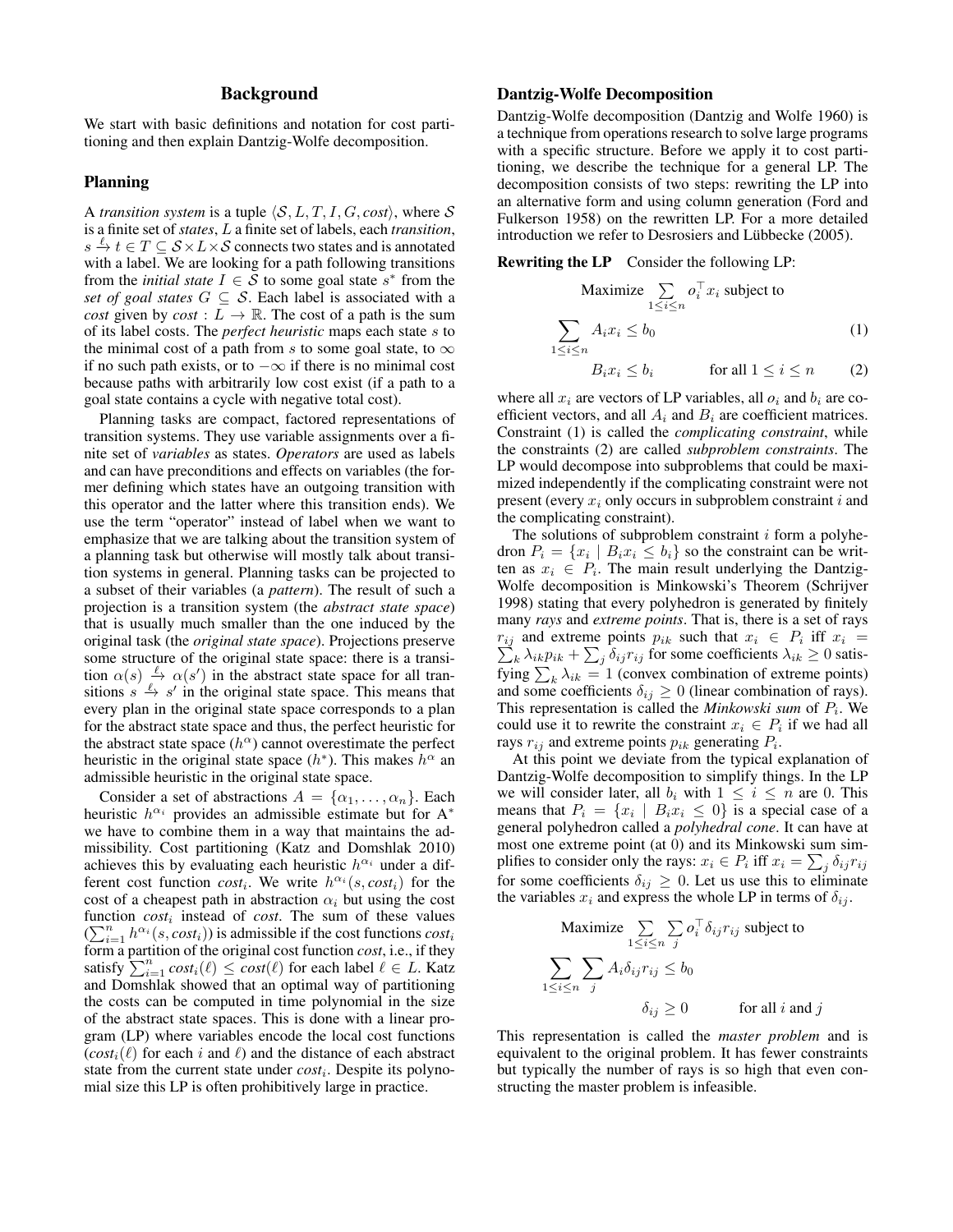## Background

We start with basic definitions and notation for cost partitioning and then explain Dantzig-Wolfe decomposition.

#### Planning

A *transition system* is a tuple  $\langle S, L, T, I, G, cost \rangle$ , where S is a finite set of *states*, L a finite set of labels, each *transition*,  $s \stackrel{\ell}{\rightarrow} t \in T \subseteq S \times L \times S$  connects two states and is annotated with a label. We are looking for a path following transitions from the *initial state*  $I \in \overline{S}$  to some goal state  $s^*$  from the *set of goal states*  $G \subseteq S$ . Each label is associated with a *cost* given by *cost* :  $L \rightarrow \mathbb{R}$ . The cost of a path is the sum of its label costs. The *perfect heuristic* maps each state s to the minimal cost of a path from s to some goal state, to  $\infty$ if no such path exists, or to −∞ if there is no minimal cost because paths with arbitrarily low cost exist (if a path to a goal state contains a cycle with negative total cost).

Planning tasks are compact, factored representations of transition systems. They use variable assignments over a finite set of *variables* as states. *Operators* are used as labels and can have preconditions and effects on variables (the former defining which states have an outgoing transition with this operator and the latter where this transition ends). We use the term "operator" instead of label when we want to emphasize that we are talking about the transition system of a planning task but otherwise will mostly talk about transition systems in general. Planning tasks can be projected to a subset of their variables (a *pattern*). The result of such a projection is a transition system (the *abstract state space*) that is usually much smaller than the one induced by the original task (the *original state space*). Projections preserve some structure of the original state space: there is a transition  $\alpha(s) \stackrel{\ell}{\rightarrow} \alpha(s')$  in the abstract state space for all transitions  $s \stackrel{\ell}{\to} s'$  in the original state space. This means that every plan in the original state space corresponds to a plan for the abstract state space and thus, the perfect heuristic for the abstract state space  $(h^{\alpha})$  cannot overestimate the perfect heuristic in the original state space  $(h^*)$ . This makes  $h^{\alpha}$  and admissible heuristic in the original state space.

Consider a set of abstractions  $A = {\alpha_1, \ldots, \alpha_n}$ . Each heuristic  $h^{\alpha_i}$  provides an admissible estimate but for A<sup>\*</sup> we have to combine them in a way that maintains the admissibility. Cost partitioning (Katz and Domshlak 2010) achieves this by evaluating each heuristic  $h^{\alpha_i}$  under a different cost function  $cost_i$ . We write  $h^{\alpha_i}(s, cost_i)$  for the cost of a cheapest path in abstraction  $\alpha_i$  but using the cost function  $cost_i$  instead of *cost*. The sum of these values  $(\sum_{i=1}^n h^{\alpha_i}(s, cost_i))$  is admissible if the cost functions  $cost_i$ form a partition of the original cost function *cost*, i.e., if they satisfy  $\sum_{i=1}^{n} cost_i(\ell) \le cost(\ell)$  for each label  $\ell \in L$ . Katz and Domshlak showed that an optimal way of partitioning the costs can be computed in time polynomial in the size of the abstract state spaces. This is done with a linear program (LP) where variables encode the local cost functions  $(cost_i(\ell)$  for each i and  $\ell$ ) and the distance of each abstract state from the current state under *cost<sub>i</sub>*. Despite its polynomial size this LP is often prohibitively large in practice.

#### Dantzig-Wolfe Decomposition

Dantzig-Wolfe decomposition (Dantzig and Wolfe 1960) is a technique from operations research to solve large programs with a specific structure. Before we apply it to cost partitioning, we describe the technique for a general LP. The decomposition consists of two steps: rewriting the LP into an alternative form and using column generation (Ford and Fulkerson 1958) on the rewritten LP. For a more detailed introduction we refer to Desrosiers and Lübbecke (2005).

Rewriting the LP Consider the following LP:

$$
\begin{aligned}\n\text{Maximize } & \sum_{1 \le i \le n} o_i^\top x_i \text{ subject to} \\
& \sum_{1 \le i \le n} A_i x_i \le b_0\n\end{aligned} \tag{1}
$$

$$
B_i x_i \le b_i \qquad \text{for all } 1 \le i \le n \qquad (2)
$$

where all  $x_i$  are vectors of LP variables, all  $o_i$  and  $b_i$  are coefficient vectors, and all  $A_i$  and  $B_i$  are coefficient matrices. Constraint (1) is called the *complicating constraint*, while the constraints (2) are called *subproblem constraints*. The LP would decompose into subproblems that could be maximized independently if the complicating constraint were not present (every  $x_i$  only occurs in subproblem constraint i and the complicating constraint).

The solutions of subproblem constraint  $i$  form a polyhedron  $P_i = \{x_i \mid B_i x_i \leq b_i\}$  so the constraint can be written as  $x_i \in P_i$ . The main result underlying the Dantzig-Wolfe decomposition is Minkowski's Theorem (Schrijver 1998) stating that every polyhedron is generated by finitely many *rays* and *extreme points*. That is, there is a set of rays  $r_{ij}$  and extreme points  $p_{ik}$  such that  $x_i \in P_i$  iff  $x_i =$  $\sum_{k} \lambda_{ik} p_{ik} + \sum_{j} \delta_{ij} r_{ij}$  for some coefficients  $\lambda_{ik} \geq 0$  satisfying  $\sum_k \lambda_{ik} = 1$  (convex combination of extreme points) and some coefficients  $\delta_{ij} \geq 0$  (linear combination of rays). This representation is called the *Minkowski sum* of  $P_i$ . We could use it to rewrite the constraint  $x_i \in P_i$  if we had all rays  $r_{ij}$  and extreme points  $p_{ik}$  generating  $P_i$ .

At this point we deviate from the typical explanation of Dantzig-Wolfe decomposition to simplify things. In the LP we will consider later, all  $b_i$  with  $1 \leq i \leq n$  are 0. This means that  $P_i = \{x_i \mid B_i x_i \leq 0\}$  is a special case of a general polyhedron called a *polyhedral cone*. It can have at most one extreme point (at 0) and its Minkowski sum simplifies to consider only the rays:  $x_i \in P_i$  iff  $x_i = \sum_j \delta_{ij} r_{ij}$ for some coefficients  $\delta_{ij} \geq 0$ . Let us use this to eliminate the variables  $x_i$  and express the whole LP in terms of  $\delta_{ij}$ .

$$
\begin{aligned}\n\text{Maximize } & \sum_{1 \le i \le n} \sum_{j} o_i^{\top} \delta_{ij} r_{ij} \text{ subject to} \\
& \sum_{1 \le i \le n} \sum_{j} A_i \delta_{ij} r_{ij} \le b_0 \\
& \delta_{ij} \ge 0 \qquad \text{for all } i \text{ and } j\n\end{aligned}
$$

This representation is called the *master problem* and is equivalent to the original problem. It has fewer constraints but typically the number of rays is so high that even constructing the master problem is infeasible.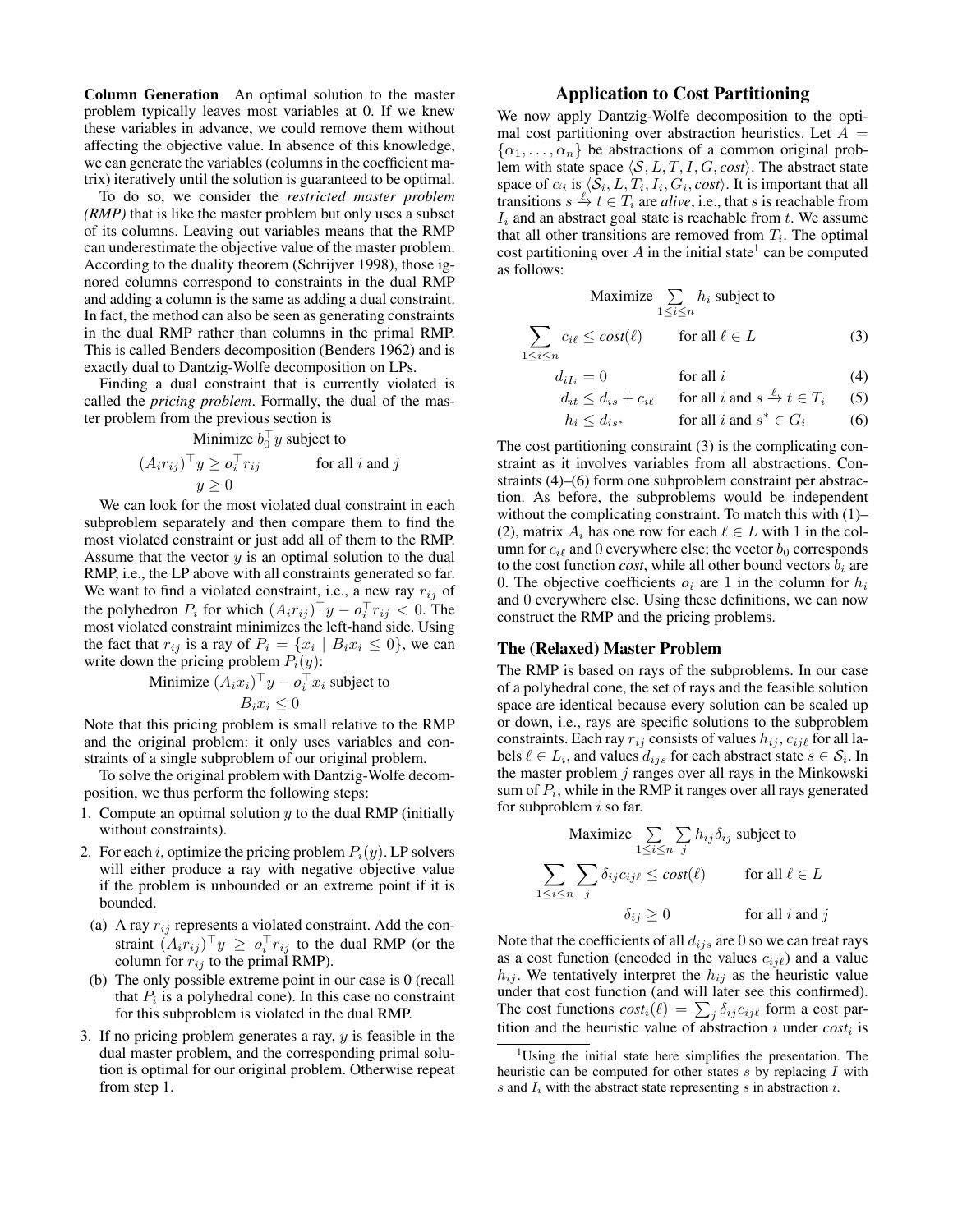Column Generation An optimal solution to the master problem typically leaves most variables at 0. If we knew these variables in advance, we could remove them without affecting the objective value. In absence of this knowledge, we can generate the variables (columns in the coefficient matrix) iteratively until the solution is guaranteed to be optimal.

To do so, we consider the *restricted master problem (RMP)* that is like the master problem but only uses a subset of its columns. Leaving out variables means that the RMP can underestimate the objective value of the master problem. According to the duality theorem (Schrijver 1998), those ignored columns correspond to constraints in the dual RMP and adding a column is the same as adding a dual constraint. In fact, the method can also be seen as generating constraints in the dual RMP rather than columns in the primal RMP. This is called Benders decomposition (Benders 1962) and is exactly dual to Dantzig-Wolfe decomposition on LPs.

Finding a dual constraint that is currently violated is called the *pricing problem*. Formally, the dual of the master problem from the previous section is

Minimize  $b_0^{\top} y$  subject to

$$
(A_i r_{ij})^\top y \geq o_i^\top r_{ij} \qquad \text{for all } i \text{ and } j
$$

$$
y \geq 0
$$

We can look for the most violated dual constraint in each subproblem separately and then compare them to find the most violated constraint or just add all of them to the RMP. Assume that the vector  $y$  is an optimal solution to the dual RMP, i.e., the LP above with all constraints generated so far. We want to find a violated constraint, i.e., a new ray  $r_{ij}$  of the polyhedron  $P_i$  for which  $(A_i r_{ij})^{\top} y - o_i^{\top} r_{ij} < 0$ . The most violated constraint minimizes the left-hand side. Using the fact that  $r_{ij}$  is a ray of  $P_i = \{x_i \mid B_i x_i \leq 0\}$ , we can write down the pricing problem  $P_i(y)$ :

Minimize 
$$
(A_i x_i)^\top y - o_i^\top x_i
$$
 subject to  
 $B_i x_i \leq 0$ 

Note that this pricing problem is small relative to the RMP and the original problem: it only uses variables and constraints of a single subproblem of our original problem.

To solve the original problem with Dantzig-Wolfe decomposition, we thus perform the following steps:

- 1. Compute an optimal solution  $y$  to the dual RMP (initially without constraints).
- 2. For each i, optimize the pricing problem  $P_i(y)$ . LP solvers will either produce a ray with negative objective value if the problem is unbounded or an extreme point if it is bounded.
- (a) A ray  $r_{ij}$  represents a violated constraint. Add the constraint  $(A_i r_{ij})^\top y \geq o_i^\top r_{ij}$  to the dual RMP (or the column for  $r_{ij}$  to the primal RMP).
- (b) The only possible extreme point in our case is 0 (recall that  $P_i$  is a polyhedral cone). In this case no constraint for this subproblem is violated in the dual RMP.
- 3. If no pricing problem generates a ray,  $y$  is feasible in the dual master problem, and the corresponding primal solution is optimal for our original problem. Otherwise repeat from step 1.

### Application to Cost Partitioning

We now apply Dantzig-Wolfe decomposition to the optimal cost partitioning over abstraction heuristics. Let  $A =$  $\{\alpha_1, \ldots, \alpha_n\}$  be abstractions of a common original problem with state space  $\langle S, L, T, I, G, cost \rangle$ . The abstract state space of  $\alpha_i$  is  $\langle S_i, L, T_i, I_i, G_i, cost \rangle$ . It is important that all transitions  $s \stackrel{\ell}{\to} t \in T_i$  are *alive*, i.e., that s is reachable from  $I_i$  and an abstract goal state is reachable from t. We assume that all other transitions are removed from  $T_i$ . The optimal cost partitioning over  $A$  in the initial state<sup>1</sup> can be computed as follows:

$$
\begin{aligned}\n\text{Maximize} & \sum_{1 \le i \le n} h_i \text{ subject to} \\
c_{i\ell} &\le \text{cost}(\ell) \qquad \text{for all } \ell \in L\n\end{aligned} \tag{3}
$$

$$
d_{iI_i} = 0 \t\t \text{for all } i \t\t (4)
$$

$$
d_{it} \le d_{is} + c_{i\ell} \quad \text{for all } i \text{ and } s \xrightarrow{\ell} t \in T_i \quad (5)
$$

$$
h_i \le d_{is^*} \qquad \text{for all } i \text{ and } s^* \in G_i \qquad (6)
$$

The cost partitioning constraint (3) is the complicating constraint as it involves variables from all abstractions. Constraints (4)–(6) form one subproblem constraint per abstraction. As before, the subproblems would be independent without the complicating constraint. To match this with (1)– (2), matrix  $A_i$  has one row for each  $\ell \in L$  with 1 in the column for  $c_{i\ell}$  and 0 everywhere else; the vector  $b_0$  corresponds to the cost function *cost*, while all other bound vectors  $b_i$  are 0. The objective coefficients  $o_i$  are 1 in the column for  $h_i$ and 0 everywhere else. Using these definitions, we can now construct the RMP and the pricing problems.

#### The (Relaxed) Master Problem

 $\sum$  $1 \leq i \leq n$ 

The RMP is based on rays of the subproblems. In our case of a polyhedral cone, the set of rays and the feasible solution space are identical because every solution can be scaled up or down, i.e., rays are specific solutions to the subproblem constraints. Each ray  $r_{ij}$  consists of values  $h_{ij}$ ,  $c_{ij\ell}$  for all labels  $\ell \in L_i$ , and values  $d_{ijs}$  for each abstract state  $s \in \mathcal{S}_i$ . In the master problem  $j$  ranges over all rays in the Minkowski sum of  $P_i$ , while in the RMP it ranges over all rays generated for subproblem  $i$  so far.

$$
\begin{aligned}\n\text{Maximize } & \sum_{1 \le i \le n} \sum_{j} h_{ij} \delta_{ij} \text{ subject to} \\
\sum_{1 \le i \le n} \sum_{j} \delta_{ij} c_{ij\ell} &\le \text{cost}(\ell) \qquad \text{ for all } \ell \in L \\
\delta_{ij} &\ge 0 \qquad \qquad \text{ for all } i \text{ and } j\n\end{aligned}
$$

Note that the coefficients of all  $d_{ijs}$  are 0 so we can treat rays as a cost function (encoded in the values  $c_{ij\ell}$ ) and a value  $h_{ij}$ . We tentatively interpret the  $h_{ij}$  as the heuristic value under that cost function (and will later see this confirmed). The cost functions  $cost_i(\ell) = \sum_j \delta_{ij} c_{ij\ell}$  form a cost partition and the heuristic value of abstraction  $i$  under  $cost_i$  is

<sup>&</sup>lt;sup>1</sup>Using the initial state here simplifies the presentation. The heuristic can be computed for other states  $s$  by replacing  $I$  with s and  $I_i$  with the abstract state representing s in abstraction i.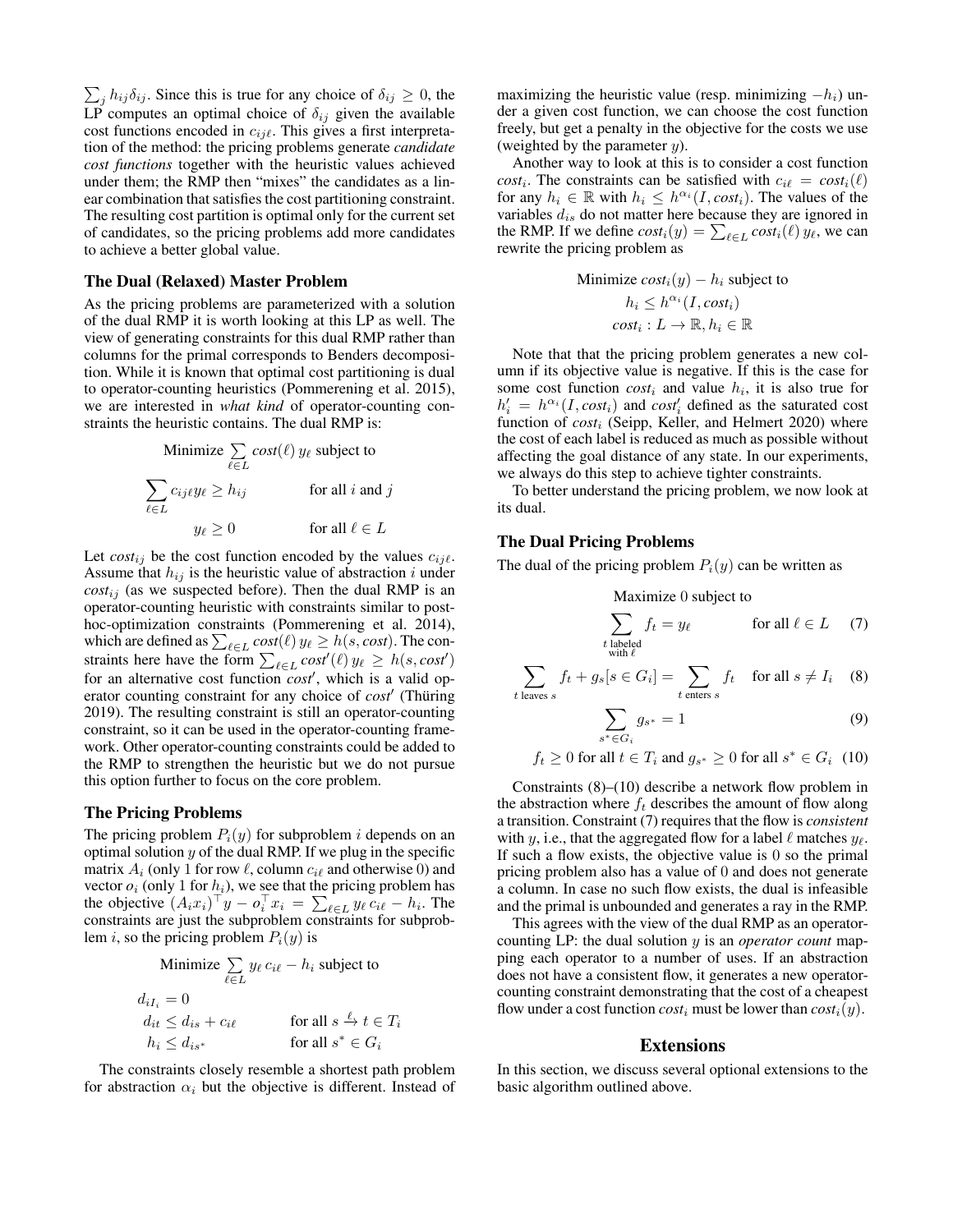$\sum_j h_{ij} \delta_{ij}$ . Since this is true for any choice of  $\delta_{ij} \geq 0$ , the LP computes an optimal choice of  $\delta_{ij}$  given the available cost functions encoded in  $c_{ij\ell}$ . This gives a first interpretation of the method: the pricing problems generate *candidate cost functions* together with the heuristic values achieved under them; the RMP then "mixes" the candidates as a linear combination that satisfies the cost partitioning constraint. The resulting cost partition is optimal only for the current set of candidates, so the pricing problems add more candidates to achieve a better global value.

#### The Dual (Relaxed) Master Problem

As the pricing problems are parameterized with a solution of the dual RMP it is worth looking at this LP as well. The view of generating constraints for this dual RMP rather than columns for the primal corresponds to Benders decomposition. While it is known that optimal cost partitioning is dual to operator-counting heuristics (Pommerening et al. 2015), we are interested in *what kind* of operator-counting constraints the heuristic contains. The dual RMP is:

Minimize 
$$
\sum_{\ell \in L} cost(\ell) y_{\ell}
$$
 subject to  
\n
$$
\sum_{\ell \in L} c_{ij\ell} y_{\ell} \ge h_{ij} \qquad \text{for all } i \text{ and } j
$$
\n
$$
y_{\ell} \ge 0 \qquad \text{for all } \ell \in L
$$

Let  $cost_{ij}$  be the cost function encoded by the values  $c_{ij\ell}$ . Assume that  $h_{ij}$  is the heuristic value of abstraction i under  $cost_{ij}$  (as we suspected before). Then the dual RMP is an operator-counting heuristic with constraints similar to posthoc-optimization constraints (Pommerening et al. 2014), which are defined as  $\sum_{\ell \in L} cost(\ell) y_{\ell} \geq h(s, cost)$ . The constraints here have the form  $\sum_{\ell \in L} cost'(\ell) y_{\ell} \geq h(s, cost')$ for an alternative cost function *cost'*, which is a valid operator counting constraint for any choice of *cost'* (Thüring 2019). The resulting constraint is still an operator-counting constraint, so it can be used in the operator-counting framework. Other operator-counting constraints could be added to the RMP to strengthen the heuristic but we do not pursue this option further to focus on the core problem.

#### The Pricing Problems

The pricing problem  $P_i(y)$  for subproblem i depends on an optimal solution  $y$  of the dual RMP. If we plug in the specific matrix  $A_i$  (only 1 for row  $\ell$ , column  $c_{i\ell}$  and otherwise 0) and vector  $o_i$  (only 1 for  $h_i$ ), we see that the pricing problem has the objective  $(A_i x_i)^\top y - o_i^\top x_i = \sum_{\ell \in L} y_\ell c_{i\ell} - h_i$ . The constraints are just the subproblem constraints for subproblem i, so the pricing problem  $P_i(y)$  is

$$
\begin{aligned}\n\text{Minimize } &\sum_{\ell \in L} y_{\ell} \, c_{i\ell} - h_i \text{ subject to} \\
d_{iI_i} &= 0 \\
d_{it} &\leq d_{is} + c_{i\ell} \\
h_i &\leq d_{is^*} \quad \text{for all } s^* \in G_i\n\end{aligned}
$$

The constraints closely resemble a shortest path problem for abstraction  $\alpha_i$  but the objective is different. Instead of maximizing the heuristic value (resp. minimizing  $-h_i$ ) under a given cost function, we can choose the cost function freely, but get a penalty in the objective for the costs we use (weighted by the parameter  $y$ ).

Another way to look at this is to consider a cost function  $cost_i$ . The constraints can be satisfied with  $c_i \ell = cost_i(\ell)$ for any  $h_i \in \mathbb{R}$  with  $h_i \leq h^{\alpha_i}(I, cost_i)$ . The values of the variables  $d_{is}$  do not matter here because they are ignored in the RMP. If we define  $cost_i(y) = \sum_{\ell \in L} cost_i(\ell) y_{\ell}$ , we can rewrite the pricing problem as

Minimize 
$$
cost_i(y) - h_i
$$
 subject to  
\n $h_i \leq h^{\alpha_i}(I, cost_i)$   
\n $cost_i : L \rightarrow \mathbb{R}, h_i \in \mathbb{R}$ 

Note that that the pricing problem generates a new column if its objective value is negative. If this is the case for some cost function  $cost_i$  and value  $h_i$ , it is also true for  $h'_i = h^{\alpha_i}(I, cost_i)$  and  $cost'_i$  defined as the saturated cost function of *cost<sub>i</sub>* (Seipp, Keller, and Helmert 2020) where the cost of each label is reduced as much as possible without affecting the goal distance of any state. In our experiments, we always do this step to achieve tighter constraints.

To better understand the pricing problem, we now look at its dual.

#### The Dual Pricing Problems

The dual of the pricing problem  $P_i(y)$  can be written as

Maximize 0 subject to  
\n
$$
\sum_{\substack{t \text{ labeled} \\ \text{with } \ell}} f_t = y_\ell \qquad \text{for all } \ell \in L \quad (7)
$$

$$
\sum_{t \text{ leaves } s} f_t + g_s[s \in G_i] = \sum_{t \text{ enters } s} f_t \quad \text{for all } s \neq I_i \quad (8)
$$

$$
\sum_{s^* \in G_i} g_{s^*} = 1 \tag{9}
$$

$$
f_t \ge 0 \text{ for all } t \in T_i \text{ and } g_{s^*} \ge 0 \text{ for all } s^* \in G_i \tag{10}
$$

Constraints  $(8)$ – $(10)$  describe a network flow problem in the abstraction where  $f_t$  describes the amount of flow along a transition. Constraint (7) requires that the flow is *consistent* with y, i.e., that the aggregated flow for a label  $\ell$  matches  $y_{\ell}$ . If such a flow exists, the objective value is  $0$  so the primal pricing problem also has a value of 0 and does not generate a column. In case no such flow exists, the dual is infeasible and the primal is unbounded and generates a ray in the RMP.

This agrees with the view of the dual RMP as an operatorcounting LP: the dual solution y is an *operator count* mapping each operator to a number of uses. If an abstraction does not have a consistent flow, it generates a new operatorcounting constraint demonstrating that the cost of a cheapest flow under a cost function  $cost_i$  must be lower than  $cost_i(y)$ .

#### Extensions

In this section, we discuss several optional extensions to the basic algorithm outlined above.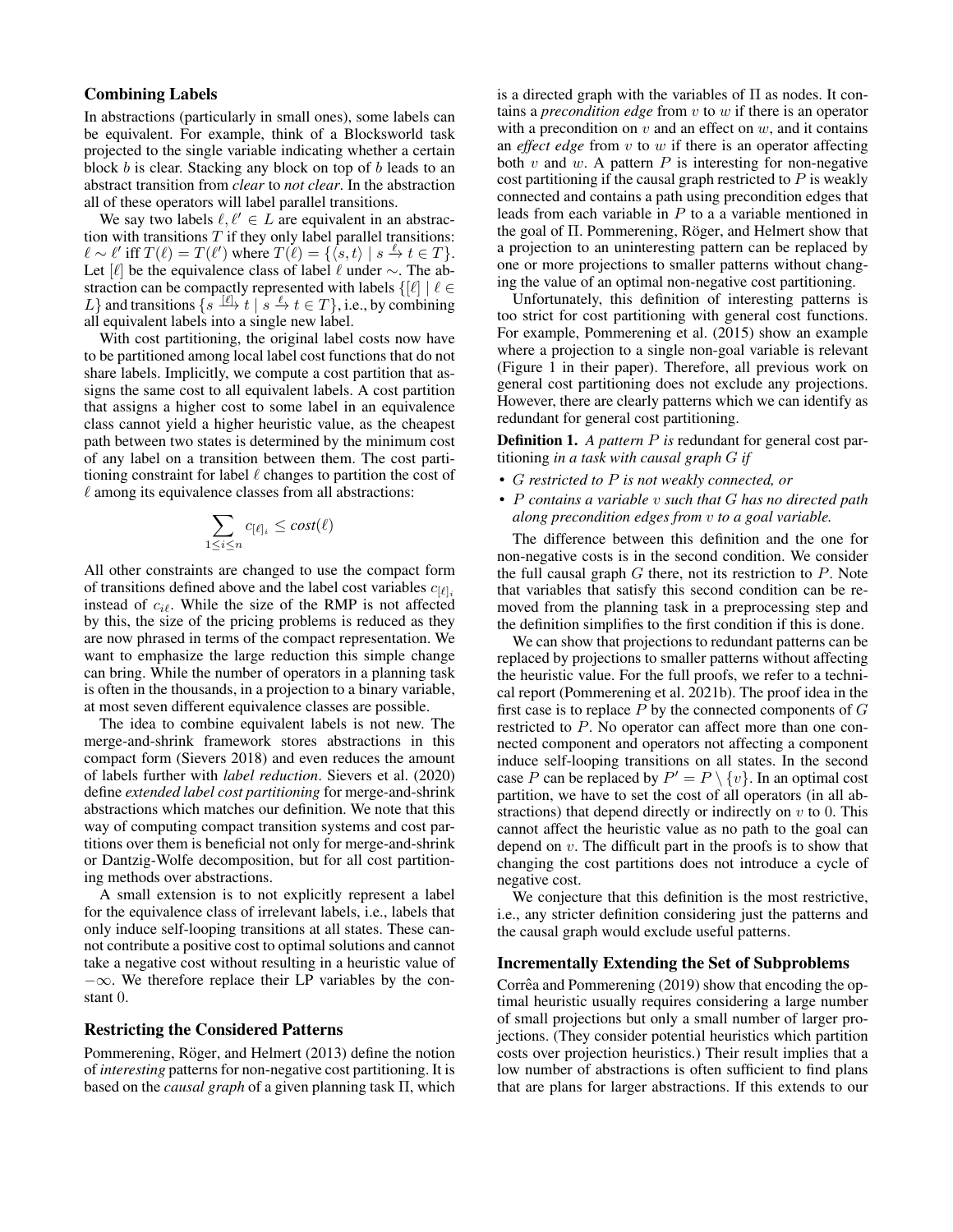### Combining Labels

In abstractions (particularly in small ones), some labels can be equivalent. For example, think of a Blocksworld task projected to the single variable indicating whether a certain block b is clear. Stacking any block on top of b leads to an abstract transition from *clear* to *not clear*. In the abstraction all of these operators will label parallel transitions.

We say two labels  $\ell, \ell' \in L$  are equivalent in an abstraction with transitions  $T$  if they only label parallel transitions:  $\ell \sim \ell'$  iff  $T(\ell) = T(\ell')$  where  $T(\ell) = {\{\langle s, t \rangle | s \stackrel{\ell}{\to} t \in T \}}.$ Let [ $\ell$ ] be the equivalence class of label  $\ell$  under ∼. The abstraction can be compactly represented with labels  $\{[\ell] \mid \ell \in$ L} and transitions  $\{s \stackrel{[l]}{\to} t \mid s \stackrel{l}{\to} t \in T\}$ , i.e., by combining all equivalent labels into a single new label.

With cost partitioning, the original label costs now have to be partitioned among local label cost functions that do not share labels. Implicitly, we compute a cost partition that assigns the same cost to all equivalent labels. A cost partition that assigns a higher cost to some label in an equivalence class cannot yield a higher heuristic value, as the cheapest path between two states is determined by the minimum cost of any label on a transition between them. The cost partitioning constraint for label  $\ell$  changes to partition the cost of  $\ell$  among its equivalence classes from all abstractions:

$$
\sum_{1 \leq i \leq n} c_{[\ell]_i} \leq cost(\ell)
$$

All other constraints are changed to use the compact form of transitions defined above and the label cost variables  $c_{[\ell]_i}$ instead of  $c_{i\ell}$ . While the size of the RMP is not affected by this, the size of the pricing problems is reduced as they are now phrased in terms of the compact representation. We want to emphasize the large reduction this simple change can bring. While the number of operators in a planning task is often in the thousands, in a projection to a binary variable, at most seven different equivalence classes are possible.

The idea to combine equivalent labels is not new. The merge-and-shrink framework stores abstractions in this compact form (Sievers 2018) and even reduces the amount of labels further with *label reduction*. Sievers et al. (2020) define *extended label cost partitioning* for merge-and-shrink abstractions which matches our definition. We note that this way of computing compact transition systems and cost partitions over them is beneficial not only for merge-and-shrink or Dantzig-Wolfe decomposition, but for all cost partitioning methods over abstractions.

A small extension is to not explicitly represent a label for the equivalence class of irrelevant labels, i.e., labels that only induce self-looping transitions at all states. These cannot contribute a positive cost to optimal solutions and cannot take a negative cost without resulting in a heuristic value of  $-\infty$ . We therefore replace their LP variables by the constant 0.

### Restricting the Considered Patterns

Pommerening, Röger, and Helmert (2013) define the notion of *interesting* patterns for non-negative cost partitioning. It is based on the *causal graph* of a given planning task Π, which

is a directed graph with the variables of  $\Pi$  as nodes. It contains a *precondition edge* from v to w if there is an operator with a precondition on  $v$  and an effect on  $w$ , and it contains an *effect edge* from v to w if there is an operator affecting both  $v$  and  $w$ . A pattern  $P$  is interesting for non-negative cost partitioning if the causal graph restricted to  $P$  is weakly connected and contains a path using precondition edges that leads from each variable in P to a a variable mentioned in the goal of Π. Pommerening, Röger, and Helmert show that a projection to an uninteresting pattern can be replaced by one or more projections to smaller patterns without changing the value of an optimal non-negative cost partitioning.

Unfortunately, this definition of interesting patterns is too strict for cost partitioning with general cost functions. For example, Pommerening et al. (2015) show an example where a projection to a single non-goal variable is relevant (Figure 1 in their paper). Therefore, all previous work on general cost partitioning does not exclude any projections. However, there are clearly patterns which we can identify as redundant for general cost partitioning.

Definition 1. *A pattern* P *is* redundant for general cost partitioning *in a task with causal graph* G *if*

- G *restricted to* P *is not weakly connected, or*
- P *contains a variable* v *such that* G *has no directed path along precondition edges from* v *to a goal variable.*

The difference between this definition and the one for non-negative costs is in the second condition. We consider the full causal graph  $G$  there, not its restriction to  $P$ . Note that variables that satisfy this second condition can be removed from the planning task in a preprocessing step and the definition simplifies to the first condition if this is done.

We can show that projections to redundant patterns can be replaced by projections to smaller patterns without affecting the heuristic value. For the full proofs, we refer to a technical report (Pommerening et al. 2021b). The proof idea in the first case is to replace  $P$  by the connected components of  $G$ restricted to P. No operator can affect more than one connected component and operators not affecting a component induce self-looping transitions on all states. In the second case P can be replaced by  $P' = P \setminus \{v\}$ . In an optimal cost partition, we have to set the cost of all operators (in all abstractions) that depend directly or indirectly on  $v$  to 0. This cannot affect the heuristic value as no path to the goal can depend on v. The difficult part in the proofs is to show that changing the cost partitions does not introduce a cycle of negative cost.

We conjecture that this definition is the most restrictive, i.e., any stricter definition considering just the patterns and the causal graph would exclude useful patterns.

#### Incrementally Extending the Set of Subproblems

Corrêa and Pommerening (2019) show that encoding the optimal heuristic usually requires considering a large number of small projections but only a small number of larger projections. (They consider potential heuristics which partition costs over projection heuristics.) Their result implies that a low number of abstractions is often sufficient to find plans that are plans for larger abstractions. If this extends to our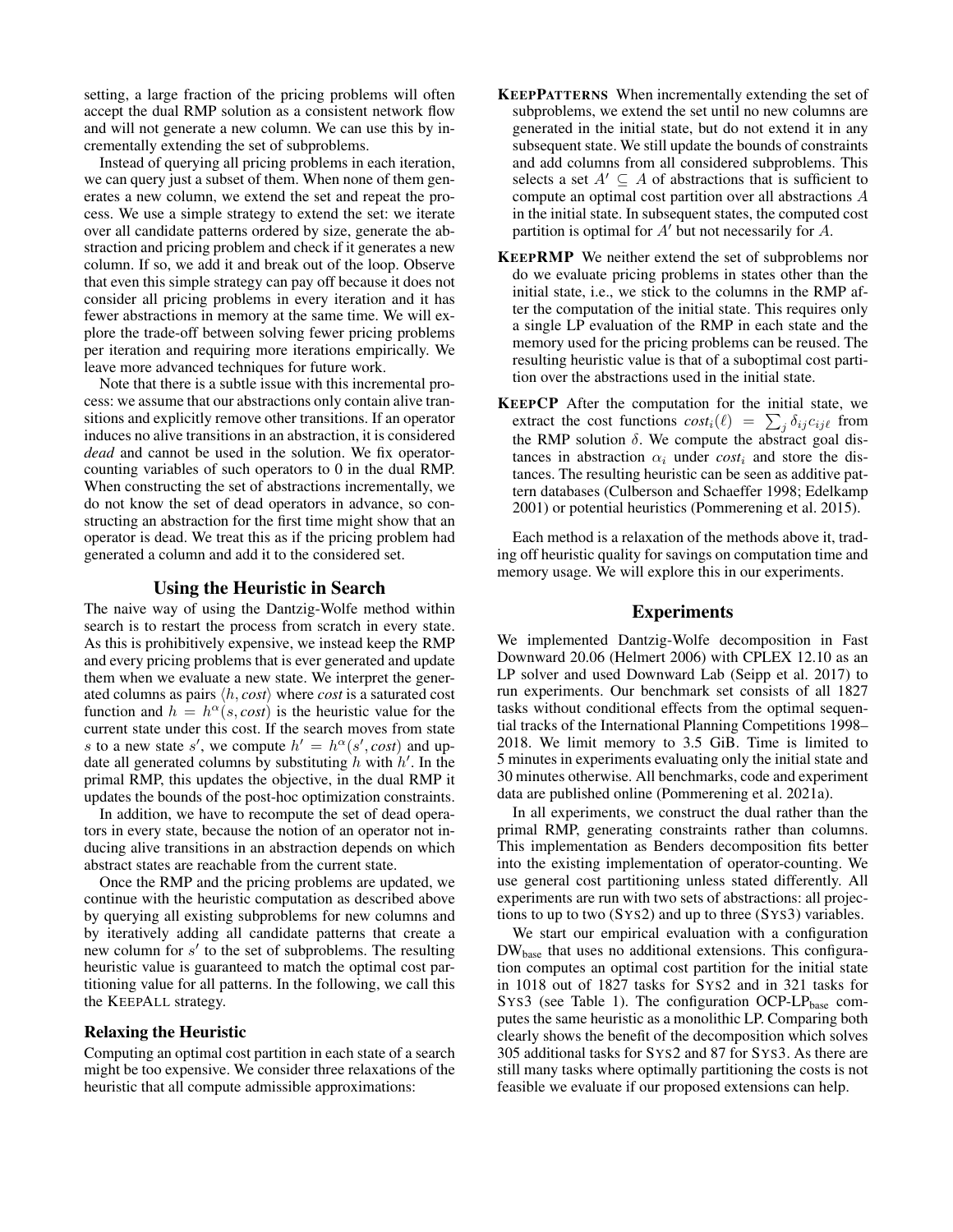setting, a large fraction of the pricing problems will often accept the dual RMP solution as a consistent network flow and will not generate a new column. We can use this by incrementally extending the set of subproblems.

Instead of querying all pricing problems in each iteration, we can query just a subset of them. When none of them generates a new column, we extend the set and repeat the process. We use a simple strategy to extend the set: we iterate over all candidate patterns ordered by size, generate the abstraction and pricing problem and check if it generates a new column. If so, we add it and break out of the loop. Observe that even this simple strategy can pay off because it does not consider all pricing problems in every iteration and it has fewer abstractions in memory at the same time. We will explore the trade-off between solving fewer pricing problems per iteration and requiring more iterations empirically. We leave more advanced techniques for future work.

Note that there is a subtle issue with this incremental process: we assume that our abstractions only contain alive transitions and explicitly remove other transitions. If an operator induces no alive transitions in an abstraction, it is considered *dead* and cannot be used in the solution. We fix operatorcounting variables of such operators to 0 in the dual RMP. When constructing the set of abstractions incrementally, we do not know the set of dead operators in advance, so constructing an abstraction for the first time might show that an operator is dead. We treat this as if the pricing problem had generated a column and add it to the considered set.

### Using the Heuristic in Search

The naive way of using the Dantzig-Wolfe method within search is to restart the process from scratch in every state. As this is prohibitively expensive, we instead keep the RMP and every pricing problems that is ever generated and update them when we evaluate a new state. We interpret the generated columns as pairs  $\langle h, cost \rangle$  where *cost* is a saturated cost function and  $h = h^{\alpha}(s, cost)$  is the heuristic value for the current state under this cost. If the search moves from state s to a new state s', we compute  $h' = h^{\alpha}(s', cost)$  and update all generated columns by substituting  $h$  with  $h'$ . In the primal RMP, this updates the objective, in the dual RMP it updates the bounds of the post-hoc optimization constraints.

In addition, we have to recompute the set of dead operators in every state, because the notion of an operator not inducing alive transitions in an abstraction depends on which abstract states are reachable from the current state.

Once the RMP and the pricing problems are updated, we continue with the heuristic computation as described above by querying all existing subproblems for new columns and by iteratively adding all candidate patterns that create a new column for s' to the set of subproblems. The resulting heuristic value is guaranteed to match the optimal cost partitioning value for all patterns. In the following, we call this the KEEPALL strategy.

### Relaxing the Heuristic

Computing an optimal cost partition in each state of a search might be too expensive. We consider three relaxations of the heuristic that all compute admissible approximations:

- KEEPPATTERNS When incrementally extending the set of subproblems, we extend the set until no new columns are generated in the initial state, but do not extend it in any subsequent state. We still update the bounds of constraints and add columns from all considered subproblems. This selects a set  $A' \subseteq A$  of abstractions that is sufficient to compute an optimal cost partition over all abstractions A in the initial state. In subsequent states, the computed cost partition is optimal for  $A'$  but not necessarily for  $A$ .
- KEEPRMP We neither extend the set of subproblems nor do we evaluate pricing problems in states other than the initial state, i.e., we stick to the columns in the RMP after the computation of the initial state. This requires only a single LP evaluation of the RMP in each state and the memory used for the pricing problems can be reused. The resulting heuristic value is that of a suboptimal cost partition over the abstractions used in the initial state.
- KEEPCP After the computation for the initial state, we extract the cost functions  $cost_i(\ell) = \sum_j \delta_{ij} c_{ij\ell}$  from the RMP solution  $\delta$ . We compute the abstract goal distances in abstraction  $\alpha_i$  under  $cost_i$  and store the distances. The resulting heuristic can be seen as additive pattern databases (Culberson and Schaeffer 1998; Edelkamp 2001) or potential heuristics (Pommerening et al. 2015).

Each method is a relaxation of the methods above it, trading off heuristic quality for savings on computation time and memory usage. We will explore this in our experiments.

### Experiments

We implemented Dantzig-Wolfe decomposition in Fast Downward 20.06 (Helmert 2006) with CPLEX 12.10 as an LP solver and used Downward Lab (Seipp et al. 2017) to run experiments. Our benchmark set consists of all 1827 tasks without conditional effects from the optimal sequential tracks of the International Planning Competitions 1998– 2018. We limit memory to 3.5 GiB. Time is limited to 5 minutes in experiments evaluating only the initial state and 30 minutes otherwise. All benchmarks, code and experiment data are published online (Pommerening et al. 2021a).

In all experiments, we construct the dual rather than the primal RMP, generating constraints rather than columns. This implementation as Benders decomposition fits better into the existing implementation of operator-counting. We use general cost partitioning unless stated differently. All experiments are run with two sets of abstractions: all projections to up to two (SYS2) and up to three (SYS3) variables.

We start our empirical evaluation with a configuration DW<sub>base</sub> that uses no additional extensions. This configuration computes an optimal cost partition for the initial state in 1018 out of 1827 tasks for SYS2 and in 321 tasks for SYS3 (see Table 1). The configuration OCP-LP $_{base}$  computes the same heuristic as a monolithic LP. Comparing both clearly shows the benefit of the decomposition which solves 305 additional tasks for SYS2 and 87 for SYS3. As there are still many tasks where optimally partitioning the costs is not feasible we evaluate if our proposed extensions can help.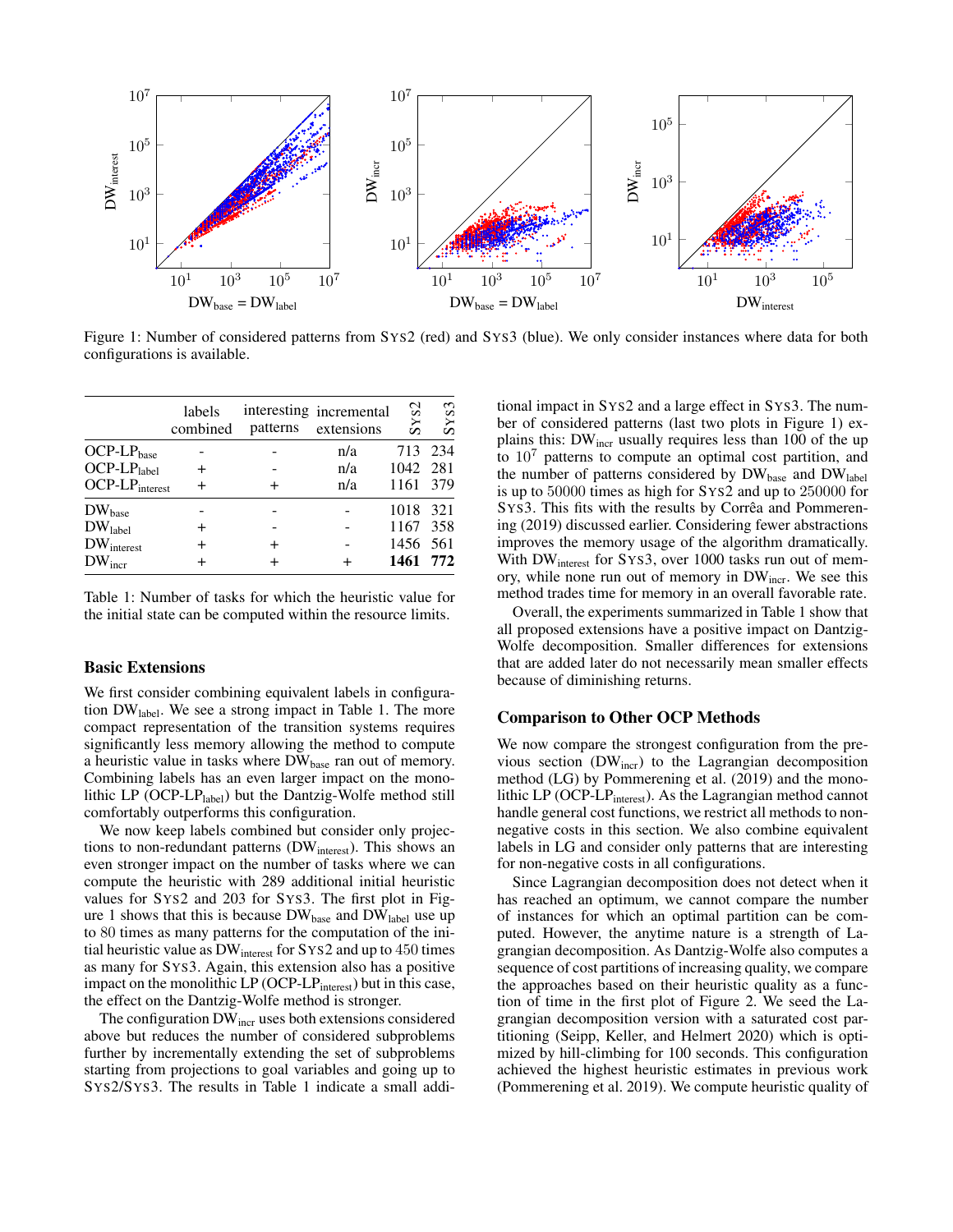

Figure 1: Number of considered patterns from SYS2 (red) and SYS3 (blue). We only consider instances where data for both configurations is available.

|                        | labels<br>combined | interesting incremental<br>patterns extensions | SYS2     | SYS3 |
|------------------------|--------------------|------------------------------------------------|----------|------|
| $OCP-LP_{base}$        |                    | n/a                                            | 713 234  |      |
| $OCP-LP_{label}$       |                    | n/a                                            | 1042 281 |      |
| $OCP-LP_{interest}$    |                    | n/a                                            | 1161 379 |      |
| $DW_{base}$            |                    |                                                | 1018 321 |      |
| DW <sub>label</sub>    |                    |                                                | 1167 358 |      |
| $DW_{\text{interest}}$ |                    |                                                | 1456 561 |      |
| $DW_{\text{incr}}$     |                    |                                                | 1461 772 |      |

Table 1: Number of tasks for which the heuristic value for the initial state can be computed within the resource limits.

#### Basic Extensions

We first consider combining equivalent labels in configuration DWlabel. We see a strong impact in Table 1. The more compact representation of the transition systems requires significantly less memory allowing the method to compute a heuristic value in tasks where DW<sub>base</sub> ran out of memory. Combining labels has an even larger impact on the monolithic LP (OCP-LP $_{label}$ ) but the Dantzig-Wolfe method still comfortably outperforms this configuration.

We now keep labels combined but consider only projections to non-redundant patterns (DW<sub>interest</sub>). This shows an even stronger impact on the number of tasks where we can compute the heuristic with 289 additional initial heuristic values for SYS2 and 203 for SYS3. The first plot in Figure 1 shows that this is because  $DW_{base}$  and  $DW_{label}$  use up to 80 times as many patterns for the computation of the initial heuristic value as DW<sub>interest</sub> for SYS2 and up to 450 times as many for SYS3. Again, this extension also has a positive impact on the monolithic LP (OCP-LP<sub>interest</sub>) but in this case, the effect on the Dantzig-Wolfe method is stronger.

The configuration DW<sub>incr</sub> uses both extensions considered above but reduces the number of considered subproblems further by incrementally extending the set of subproblems starting from projections to goal variables and going up to SYS2/SYS3. The results in Table 1 indicate a small addi-

tional impact in SYS2 and a large effect in SYS3. The number of considered patterns (last two plots in Figure 1) explains this: DW<sub>incr</sub> usually requires less than 100 of the up to  $10<sup>7</sup>$  patterns to compute an optimal cost partition, and the number of patterns considered by  $DW_{base}$  and  $DW_{label}$ is up to 50000 times as high for SYS2 and up to 250000 for SYS3. This fits with the results by Corrêa and Pommerening (2019) discussed earlier. Considering fewer abstractions improves the memory usage of the algorithm dramatically. With DW<sub>interest</sub> for SYS3, over 1000 tasks run out of memory, while none run out of memory in DW<sub>incr</sub>. We see this method trades time for memory in an overall favorable rate.

Overall, the experiments summarized in Table 1 show that all proposed extensions have a positive impact on Dantzig-Wolfe decomposition. Smaller differences for extensions that are added later do not necessarily mean smaller effects because of diminishing returns.

#### Comparison to Other OCP Methods

We now compare the strongest configuration from the previous section (DW<sub>incr</sub>) to the Lagrangian decomposition method (LG) by Pommerening et al. (2019) and the monolithic LP (OCP-LP<sub>interest</sub>). As the Lagrangian method cannot handle general cost functions, we restrict all methods to nonnegative costs in this section. We also combine equivalent labels in LG and consider only patterns that are interesting for non-negative costs in all configurations.

Since Lagrangian decomposition does not detect when it has reached an optimum, we cannot compare the number of instances for which an optimal partition can be computed. However, the anytime nature is a strength of Lagrangian decomposition. As Dantzig-Wolfe also computes a sequence of cost partitions of increasing quality, we compare the approaches based on their heuristic quality as a function of time in the first plot of Figure 2. We seed the Lagrangian decomposition version with a saturated cost partitioning (Seipp, Keller, and Helmert 2020) which is optimized by hill-climbing for 100 seconds. This configuration achieved the highest heuristic estimates in previous work (Pommerening et al. 2019). We compute heuristic quality of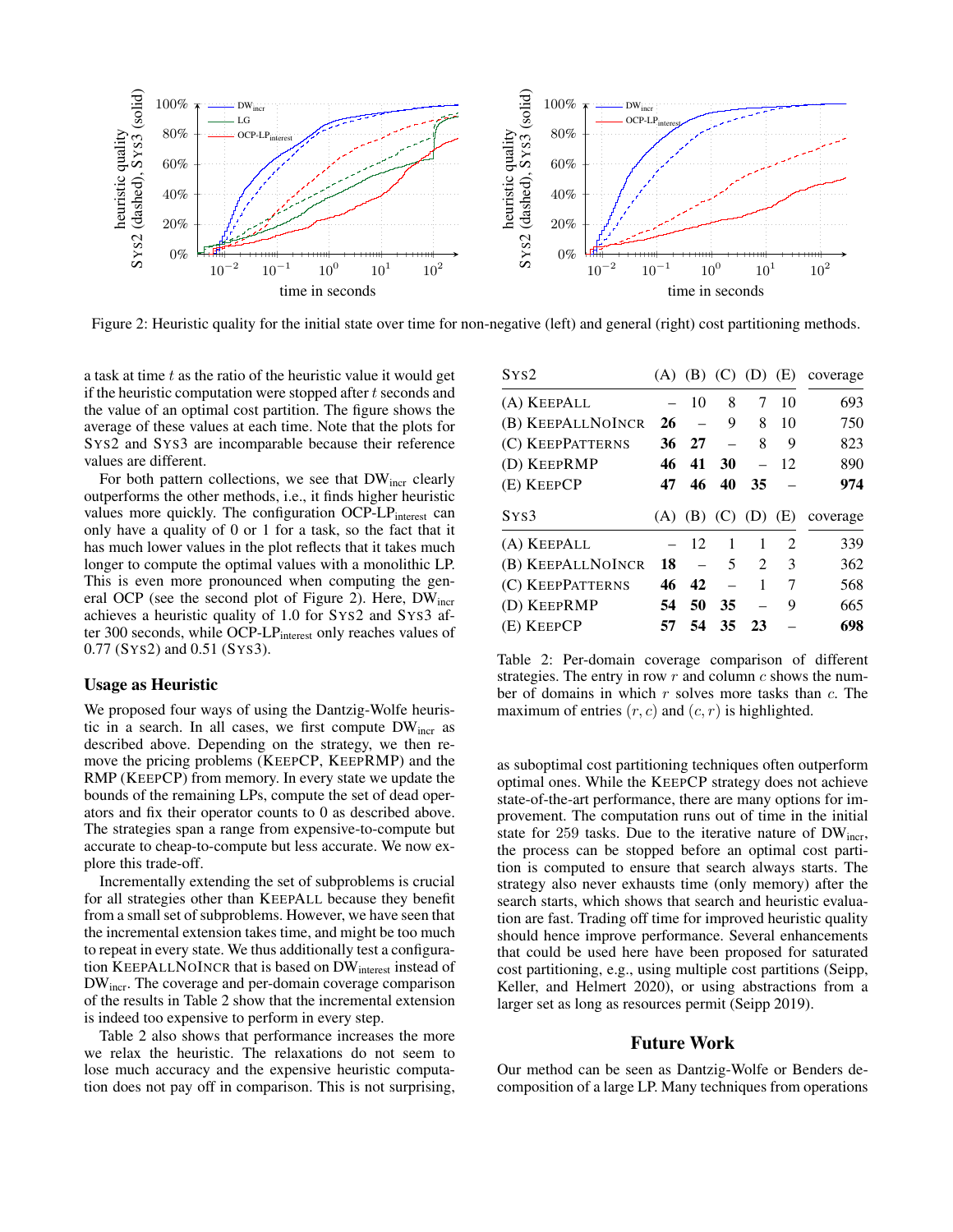

Figure 2: Heuristic quality for the initial state over time for non-negative (left) and general (right) cost partitioning methods.

a task at time  $t$  as the ratio of the heuristic value it would get if the heuristic computation were stopped after  $t$  seconds and the value of an optimal cost partition. The figure shows the average of these values at each time. Note that the plots for SYS2 and SYS3 are incomparable because their reference values are different.

For both pattern collections, we see that  $DW_{\text{incr}}$  clearly outperforms the other methods, i.e., it finds higher heuristic values more quickly. The configuration OCP-LP<sub>interest</sub> can only have a quality of 0 or 1 for a task, so the fact that it has much lower values in the plot reflects that it takes much longer to compute the optimal values with a monolithic LP. This is even more pronounced when computing the general OCP (see the second plot of Figure 2). Here, DW<sub>incr</sub> achieves a heuristic quality of 1.0 for SYS2 and SYS3 after 300 seconds, while OCP-LP<sub>interest</sub> only reaches values of 0.77 (SYS2) and 0.51 (SYS3).

### Usage as Heuristic

We proposed four ways of using the Dantzig-Wolfe heuristic in a search. In all cases, we first compute  $DW_{\text{incr}}$  as described above. Depending on the strategy, we then remove the pricing problems (KEEPCP, KEEPRMP) and the RMP (KEEPCP) from memory. In every state we update the bounds of the remaining LPs, compute the set of dead operators and fix their operator counts to 0 as described above. The strategies span a range from expensive-to-compute but accurate to cheap-to-compute but less accurate. We now explore this trade-off.

Incrementally extending the set of subproblems is crucial for all strategies other than KEEPALL because they benefit from a small set of subproblems. However, we have seen that the incremental extension takes time, and might be too much to repeat in every state. We thus additionally test a configuration KEEPALLNOINCR that is based on DW<sub>interest</sub> instead of DWincr. The coverage and per-domain coverage comparison of the results in Table 2 show that the incremental extension is indeed too expensive to perform in every step.

Table 2 also shows that performance increases the more we relax the heuristic. The relaxations do not seem to lose much accuracy and the expensive heuristic computation does not pay off in comparison. This is not surprising,

| S <sub>YS2</sub>  |     |       |           | $(A)$ $(B)$ $(C)$ $(D)$     | (E)                         | coverage |
|-------------------|-----|-------|-----------|-----------------------------|-----------------------------|----------|
| (A) KEEPALL       |     | 10    | 8         | 7                           | 10                          | 693      |
| (B) KEEPALLNOINCR | 26  |       | 9         | 8                           | 10                          | 750      |
| (C) KEEPPATTERNS  | 36  | 27    |           | 8                           | 9                           | 823      |
| (D) KEEPRMP       | 46  | 41    | <b>30</b> | $\overline{\phantom{0}}$    | 12                          | 890      |
| (E) KEEPCP        | 47  | 46    | 40        | 35                          |                             | 974      |
|                   |     |       |           |                             |                             |          |
| Sys3              | (A) |       |           | $(B)$ $(C)$ $(D)$           | (E)                         | coverage |
| (A) KEEPALL       |     | $-12$ | 1         | 1                           | $\mathcal{D}_{\mathcal{L}}$ | 339      |
| (B) KEEPALLNOINCR | 18  |       | 5         | $\mathcal{D}_{\mathcal{L}}$ | 3                           | 362      |
| (C) KEEPPATTERNS  | 46  | 42    |           | 1                           | 7                           | 568      |
| (D) KEEPRMP       | 54  | 50    | 35        |                             | 9                           | 665      |

Table 2: Per-domain coverage comparison of different strategies. The entry in row  $r$  and column  $c$  shows the number of domains in which  $r$  solves more tasks than  $c$ . The maximum of entries  $(r, c)$  and  $(c, r)$  is highlighted.

as suboptimal cost partitioning techniques often outperform optimal ones. While the KEEPCP strategy does not achieve state-of-the-art performance, there are many options for improvement. The computation runs out of time in the initial state for 259 tasks. Due to the iterative nature of DW<sub>incr</sub>, the process can be stopped before an optimal cost partition is computed to ensure that search always starts. The strategy also never exhausts time (only memory) after the search starts, which shows that search and heuristic evaluation are fast. Trading off time for improved heuristic quality should hence improve performance. Several enhancements that could be used here have been proposed for saturated cost partitioning, e.g., using multiple cost partitions (Seipp, Keller, and Helmert 2020), or using abstractions from a larger set as long as resources permit (Seipp 2019).

### Future Work

Our method can be seen as Dantzig-Wolfe or Benders decomposition of a large LP. Many techniques from operations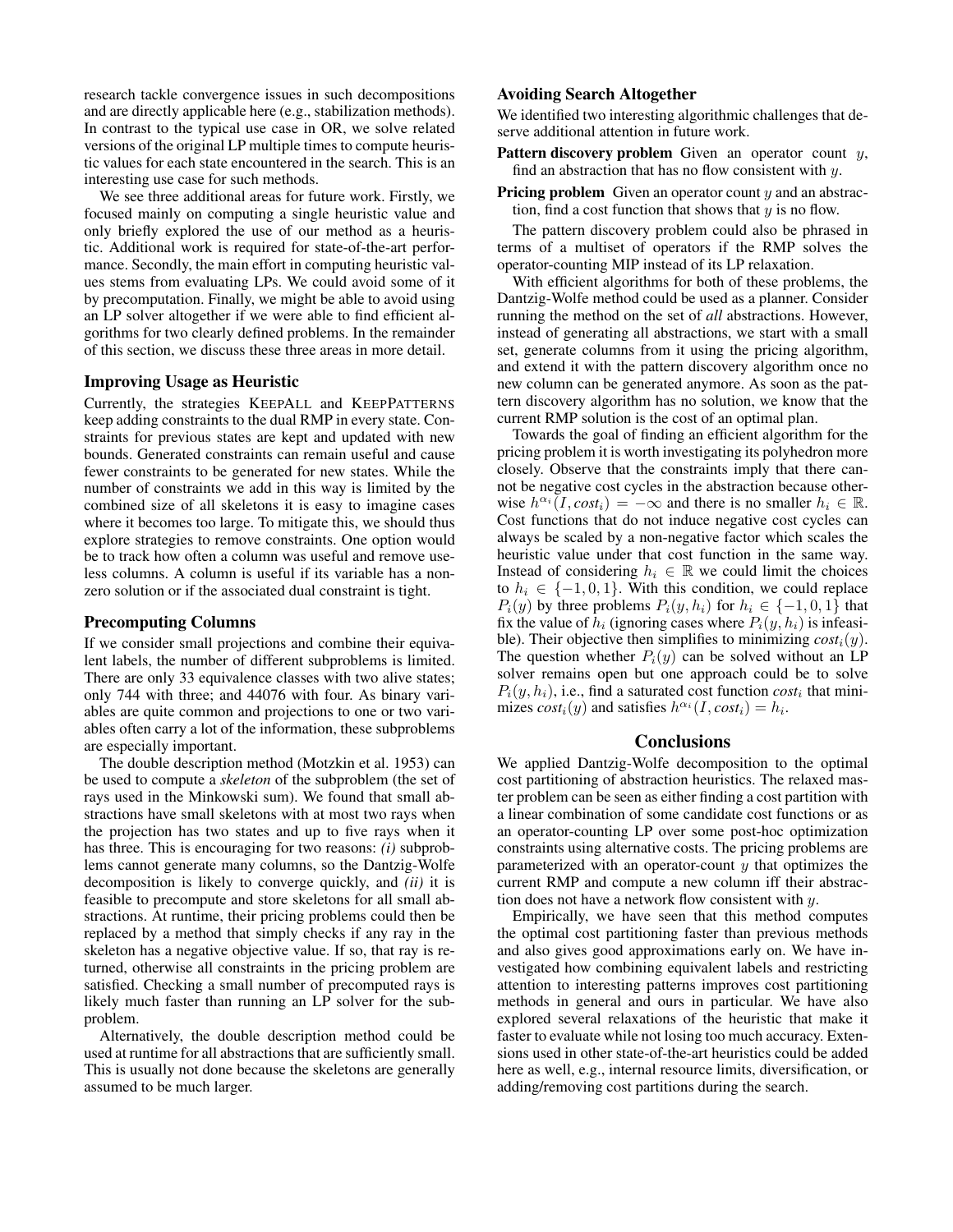research tackle convergence issues in such decompositions and are directly applicable here (e.g., stabilization methods). In contrast to the typical use case in OR, we solve related versions of the original LP multiple times to compute heuristic values for each state encountered in the search. This is an interesting use case for such methods.

We see three additional areas for future work. Firstly, we focused mainly on computing a single heuristic value and only briefly explored the use of our method as a heuristic. Additional work is required for state-of-the-art performance. Secondly, the main effort in computing heuristic values stems from evaluating LPs. We could avoid some of it by precomputation. Finally, we might be able to avoid using an LP solver altogether if we were able to find efficient algorithms for two clearly defined problems. In the remainder of this section, we discuss these three areas in more detail.

#### Improving Usage as Heuristic

Currently, the strategies KEEPALL and KEEPPATTERNS keep adding constraints to the dual RMP in every state. Constraints for previous states are kept and updated with new bounds. Generated constraints can remain useful and cause fewer constraints to be generated for new states. While the number of constraints we add in this way is limited by the combined size of all skeletons it is easy to imagine cases where it becomes too large. To mitigate this, we should thus explore strategies to remove constraints. One option would be to track how often a column was useful and remove useless columns. A column is useful if its variable has a nonzero solution or if the associated dual constraint is tight.

#### Precomputing Columns

If we consider small projections and combine their equivalent labels, the number of different subproblems is limited. There are only 33 equivalence classes with two alive states; only 744 with three; and 44076 with four. As binary variables are quite common and projections to one or two variables often carry a lot of the information, these subproblems are especially important.

The double description method (Motzkin et al. 1953) can be used to compute a *skeleton* of the subproblem (the set of rays used in the Minkowski sum). We found that small abstractions have small skeletons with at most two rays when the projection has two states and up to five rays when it has three. This is encouraging for two reasons: *(i)* subproblems cannot generate many columns, so the Dantzig-Wolfe decomposition is likely to converge quickly, and *(ii)* it is feasible to precompute and store skeletons for all small abstractions. At runtime, their pricing problems could then be replaced by a method that simply checks if any ray in the skeleton has a negative objective value. If so, that ray is returned, otherwise all constraints in the pricing problem are satisfied. Checking a small number of precomputed rays is likely much faster than running an LP solver for the subproblem.

Alternatively, the double description method could be used at runtime for all abstractions that are sufficiently small. This is usually not done because the skeletons are generally assumed to be much larger.

### Avoiding Search Altogether

We identified two interesting algorithmic challenges that deserve additional attention in future work.

- **Pattern discovery problem** Given an operator count  $y$ , find an abstraction that has no flow consistent with  $y$ .
- **Pricing problem** Given an operator count  $y$  and an abstraction, find a cost function that shows that  $y$  is no flow.

The pattern discovery problem could also be phrased in terms of a multiset of operators if the RMP solves the operator-counting MIP instead of its LP relaxation.

With efficient algorithms for both of these problems, the Dantzig-Wolfe method could be used as a planner. Consider running the method on the set of *all* abstractions. However, instead of generating all abstractions, we start with a small set, generate columns from it using the pricing algorithm, and extend it with the pattern discovery algorithm once no new column can be generated anymore. As soon as the pattern discovery algorithm has no solution, we know that the current RMP solution is the cost of an optimal plan.

Towards the goal of finding an efficient algorithm for the pricing problem it is worth investigating its polyhedron more closely. Observe that the constraints imply that there cannot be negative cost cycles in the abstraction because otherwise  $h^{\alpha_i}(I, cost_i) = -\infty$  and there is no smaller  $h_i \in \mathbb{R}$ . Cost functions that do not induce negative cost cycles can always be scaled by a non-negative factor which scales the heuristic value under that cost function in the same way. Instead of considering  $h_i \in \mathbb{R}$  we could limit the choices to  $h_i \in \{-1, 0, 1\}$ . With this condition, we could replace  $P_i(y)$  by three problems  $P_i(y, h_i)$  for  $h_i \in \{-1, 0, 1\}$  that fix the value of  $h_i$  (ignoring cases where  $P_i(y, h_i)$  is infeasible). Their objective then simplifies to minimizing  $cost_i(y)$ . The question whether  $P_i(y)$  can be solved without an LP solver remains open but one approach could be to solve  $P_i(y, h_i)$ , i.e., find a saturated cost function  $cost_i$  that minimizes  $cost_i(y)$  and satisfies  $h^{\alpha_i}(I, cost_i) = h_i$ .

## **Conclusions**

We applied Dantzig-Wolfe decomposition to the optimal cost partitioning of abstraction heuristics. The relaxed master problem can be seen as either finding a cost partition with a linear combination of some candidate cost functions or as an operator-counting LP over some post-hoc optimization constraints using alternative costs. The pricing problems are parameterized with an operator-count  $y$  that optimizes the current RMP and compute a new column iff their abstraction does not have a network flow consistent with  $y$ .

Empirically, we have seen that this method computes the optimal cost partitioning faster than previous methods and also gives good approximations early on. We have investigated how combining equivalent labels and restricting attention to interesting patterns improves cost partitioning methods in general and ours in particular. We have also explored several relaxations of the heuristic that make it faster to evaluate while not losing too much accuracy. Extensions used in other state-of-the-art heuristics could be added here as well, e.g., internal resource limits, diversification, or adding/removing cost partitions during the search.